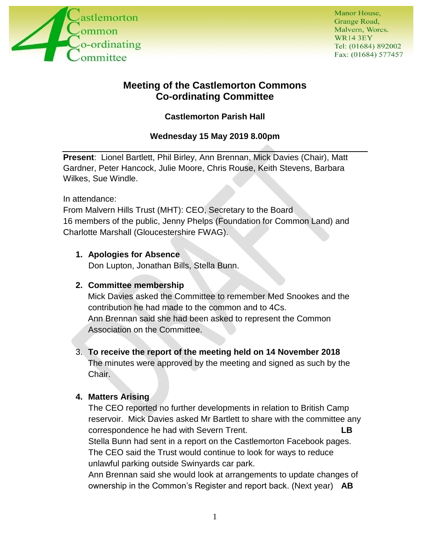

# **Meeting of the Castlemorton Commons Co-ordinating Committee**

## **Castlemorton Parish Hall**

## **Wednesday 15 May 2019 8.00pm**

**Present**: Lionel Bartlett, Phil Birley, Ann Brennan, Mick Davies (Chair), Matt Gardner, Peter Hancock, Julie Moore, Chris Rouse, Keith Stevens, Barbara Wilkes, Sue Windle.

In attendance:

From Malvern Hills Trust (MHT): CEO, Secretary to the Board 16 members of the public, Jenny Phelps (Foundation for Common Land) and Charlotte Marshall (Gloucestershire FWAG).

### **1. Apologies for Absence**

Don Lupton, Jonathan Bills, Stella Bunn.

### **2. Committee membership**

Mick Davies asked the Committee to remember Med Snookes and the contribution he had made to the common and to 4Cs. Ann Brennan said she had been asked to represent the Common Association on the Committee.

### 3. **To receive the report of the meeting held on 14 November 2018**

The minutes were approved by the meeting and signed as such by the Chair.

## **4. Matters Arising**

The CEO reported no further developments in relation to British Camp reservoir. Mick Davies asked Mr Bartlett to share with the committee any correspondence he had with Severn Trent. **LB** Stella Bunn had sent in a report on the Castlemorton Facebook pages. The CEO said the Trust would continue to look for ways to reduce unlawful parking outside Swinyards car park.

Ann Brennan said she would look at arrangements to update changes of ownership in the Common's Register and report back. (Next year) **AB**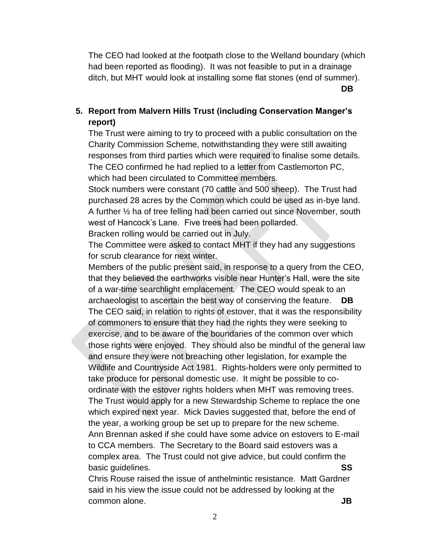The CEO had looked at the footpath close to the Welland boundary (which had been reported as flooding). It was not feasible to put in a drainage ditch, but MHT would look at installing some flat stones (end of summer). **DB**

**5. Report from Malvern Hills Trust (including Conservation Manger's report)**

The Trust were aiming to try to proceed with a public consultation on the Charity Commission Scheme, notwithstanding they were still awaiting responses from third parties which were required to finalise some details. The CEO confirmed he had replied to a letter from Castlemorton PC, which had been circulated to Committee members.

Stock numbers were constant (70 cattle and 500 sheep). The Trust had purchased 28 acres by the Common which could be used as in-bye land. A further ½ ha of tree felling had been carried out since November, south west of Hancock's Lane. Five trees had been pollarded.

Bracken rolling would be carried out in July.

The Committee were asked to contact MHT if they had any suggestions for scrub clearance for next winter.

Members of the public present said, in response to a query from the CEO, that they believed the earthworks visible near Hunter's Hall, were the site of a war-time searchlight emplacement. The CEO would speak to an archaeologist to ascertain the best way of conserving the feature. **DB** The CEO said, in relation to rights of estover, that it was the responsibility of commoners to ensure that they had the rights they were seeking to exercise, and to be aware of the boundaries of the common over which those rights were enjoyed. They should also be mindful of the general law and ensure they were not breaching other legislation, for example the Wildlife and Countryside Act 1981. Rights-holders were only permitted to take produce for personal domestic use. It might be possible to coordinate with the estover rights holders when MHT was removing trees. The Trust would apply for a new Stewardship Scheme to replace the one which expired next year. Mick Davies suggested that, before the end of the year, a working group be set up to prepare for the new scheme. Ann Brennan asked if she could have some advice on estovers to E-mail to CCA members. The Secretary to the Board said estovers was a complex area. The Trust could not give advice, but could confirm the basic guidelines. **SS**

Chris Rouse raised the issue of anthelmintic resistance. Matt Gardner said in his view the issue could not be addressed by looking at the common alone. **JB**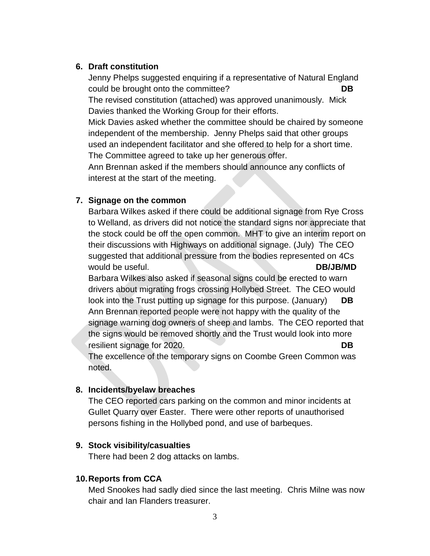#### **6. Draft constitution**

Jenny Phelps suggested enquiring if a representative of Natural England could be brought onto the committee? **DB**

The revised constitution (attached) was approved unanimously. Mick Davies thanked the Working Group for their efforts.

Mick Davies asked whether the committee should be chaired by someone independent of the membership. Jenny Phelps said that other groups used an independent facilitator and she offered to help for a short time. The Committee agreed to take up her generous offer.

Ann Brennan asked if the members should announce any conflicts of interest at the start of the meeting.

#### **7. Signage on the common**

Barbara Wilkes asked if there could be additional signage from Rye Cross to Welland, as drivers did not notice the standard signs nor appreciate that the stock could be off the open common. MHT to give an interim report on their discussions with Highways on additional signage. (July) The CEO suggested that additional pressure from the bodies represented on 4Cs would be useful. **DB**/JB/MD

Barbara Wilkes also asked if seasonal signs could be erected to warn drivers about migrating frogs crossing Hollybed Street. The CEO would look into the Trust putting up signage for this purpose. (January) **DB** Ann Brennan reported people were not happy with the quality of the signage warning dog owners of sheep and lambs. The CEO reported that the signs would be removed shortly and the Trust would look into more resilient signage for 2020. **DB**

The excellence of the temporary signs on Coombe Green Common was noted.

#### **8. Incidents/byelaw breaches**

The CEO reported cars parking on the common and minor incidents at Gullet Quarry over Easter. There were other reports of unauthorised persons fishing in the Hollybed pond, and use of barbeques.

#### **9. Stock visibility/casualties**

There had been 2 dog attacks on lambs.

#### **10.Reports from CCA**

Med Snookes had sadly died since the last meeting. Chris Milne was now chair and Ian Flanders treasurer.